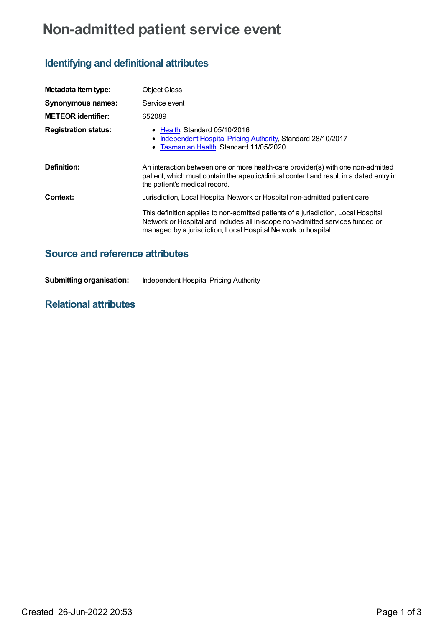# **Non-admitted patient service event**

## **Identifying and definitional attributes**

| Metadata item type:         | <b>Object Class</b>                                                                                                                                                                                                                                                                                                  |  |
|-----------------------------|----------------------------------------------------------------------------------------------------------------------------------------------------------------------------------------------------------------------------------------------------------------------------------------------------------------------|--|
| <b>Synonymous names:</b>    | Service event                                                                                                                                                                                                                                                                                                        |  |
| <b>METEOR identifier:</b>   | 652089                                                                                                                                                                                                                                                                                                               |  |
| <b>Registration status:</b> | • Health, Standard 05/10/2016<br>Independent Hospital Pricing Authority, Standard 28/10/2017<br>• Tasmanian Health, Standard 11/05/2020                                                                                                                                                                              |  |
| Definition:                 | An interaction between one or more health-care provider(s) with one non-admitted<br>patient, which must contain therapeutic/clinical content and result in a dated entry in<br>the patient's medical record.                                                                                                         |  |
| Context:                    | Jurisdiction, Local Hospital Network or Hospital non-admitted patient care:<br>This definition applies to non-admitted patients of a jurisdiction, Local Hospital<br>Network or Hospital and includes all in-scope non-admitted services funded or<br>managed by a jurisdiction, Local Hospital Network or hospital. |  |

### **Source and reference attributes**

| <b>Submitting organisation:</b> | Independent Hospital Pricing Authority |
|---------------------------------|----------------------------------------|
|                                 |                                        |

#### **Relational attributes**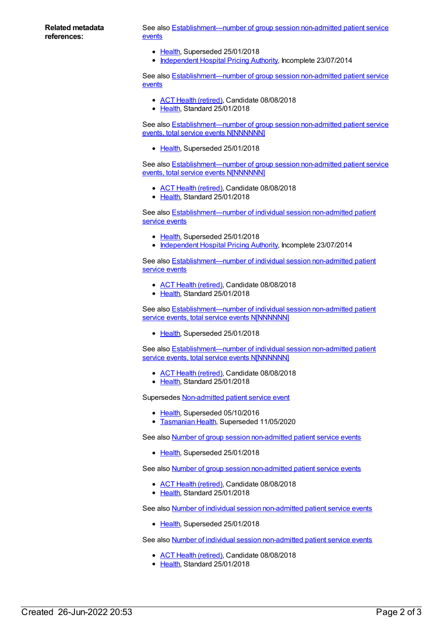#### **Related metadata references:**

See also **[Establishment—number](https://meteor.aihw.gov.au/content/584054) of group session non-admitted patient service** events

- [Health](https://meteor.aihw.gov.au/RegistrationAuthority/12), Superseded 25/01/2018
- [Independent](https://meteor.aihw.gov.au/RegistrationAuthority/3) Hospital Pricing Authority, Incomplete 23/07/2014

See also **[Establishment—number](https://meteor.aihw.gov.au/content/679574) of group session non-admitted patient service events** 

- ACT Health [\(retired\)](https://meteor.aihw.gov.au/RegistrationAuthority/9), Candidate 08/08/2018
- [Health](https://meteor.aihw.gov.au/RegistrationAuthority/12), Standard 25/01/2018

See also **[Establishment—number](https://meteor.aihw.gov.au/content/584057) of group session non-admitted patient service** events, total service events N[NNNNNN]

• [Health](https://meteor.aihw.gov.au/RegistrationAuthority/12), Superseded 25/01/2018

See also **[Establishment—number](https://meteor.aihw.gov.au/content/679572) of group session non-admitted patient service** events, total service events N[NNNNNN]

- ACT Health [\(retired\)](https://meteor.aihw.gov.au/RegistrationAuthority/9), Candidate 08/08/2018
- [Health](https://meteor.aihw.gov.au/RegistrationAuthority/12), Standard 25/01/2018

See also **[Establishment—number](https://meteor.aihw.gov.au/content/584036) of individual session non-admitted patient** service events

- [Health](https://meteor.aihw.gov.au/RegistrationAuthority/12), Superseded 25/01/2018
- [Independent](https://meteor.aihw.gov.au/RegistrationAuthority/3) Hospital Pricing Authority, Incomplete 23/07/2014

See also **[Establishment—number](https://meteor.aihw.gov.au/content/679564) of individual session non-admitted patient** service events

- ACT Health [\(retired\)](https://meteor.aihw.gov.au/RegistrationAuthority/9), Candidate 08/08/2018
- [Health](https://meteor.aihw.gov.au/RegistrationAuthority/12), Standard 25/01/2018

See also [Establishment—number](https://meteor.aihw.gov.au/content/584038) of individual session non-admitted patient service events, total service events N[NNNNNN]

• [Health](https://meteor.aihw.gov.au/RegistrationAuthority/12), Superseded 25/01/2018

See also [Establishment—number](https://meteor.aihw.gov.au/content/679562) of individual session non-admitted patient service events, total service events N[NNNNNN]

- ACT Health [\(retired\)](https://meteor.aihw.gov.au/RegistrationAuthority/9), Candidate 08/08/2018
- [Health](https://meteor.aihw.gov.au/RegistrationAuthority/12), Standard 25/01/2018

Supersedes [Non-admitted](https://meteor.aihw.gov.au/content/583996) patient service event

- [Health](https://meteor.aihw.gov.au/RegistrationAuthority/12), Superseded 05/10/2016
- [Tasmanian](https://meteor.aihw.gov.au/RegistrationAuthority/15) Health, Superseded 11/05/2020

See also Number of group session [non-admitted](https://meteor.aihw.gov.au/content/584052) patient service events

• [Health](https://meteor.aihw.gov.au/RegistrationAuthority/12), Superseded 25/01/2018

See also Number of group session [non-admitted](https://meteor.aihw.gov.au/content/679577) patient service events

- ACT Health [\(retired\)](https://meteor.aihw.gov.au/RegistrationAuthority/9), Candidate 08/08/2018
- Elealth, Standard 25/01/2018

See also Number of individual session [non-admitted](https://meteor.aihw.gov.au/content/584034) patient service events

● [Health](https://meteor.aihw.gov.au/RegistrationAuthority/12), Superseded 25/01/2018

See also Number of individual session [non-admitted](https://meteor.aihw.gov.au/content/679567) patient service events

- ACT Health [\(retired\)](https://meteor.aihw.gov.au/RegistrationAuthority/9), Candidate 08/08/2018
- [Health](https://meteor.aihw.gov.au/RegistrationAuthority/12), Standard 25/01/2018